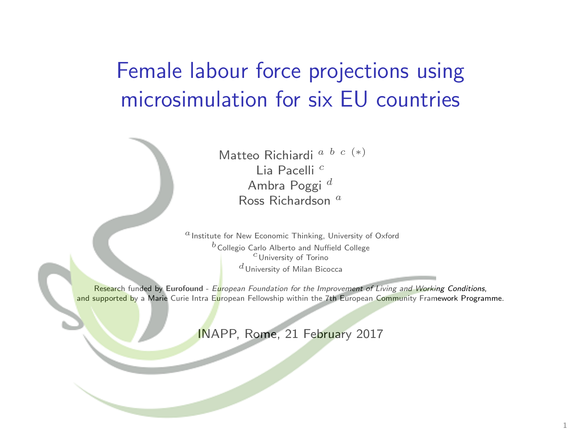<span id="page-0-0"></span>Female labour force projections using microsimulation for six EU countries

> Matteo Richiardi a b c (∗) Lia Pacelli <sup>c</sup> Ambra Poggi<sup>d</sup> Ross Richardson<sup>a</sup>

 $a$  Institute for New Economic Thinking, University of Oxford  $b$  Collegio Carlo Alberto and Nuffield College  $c$ University of Torino  $d$ University of Milan Bicocca

Research funded by Eurofound - European Foundation for the Improvement of Living and Working Conditions, and supported by a Marie Curie Intra European Fellowship within the 7th European Community Framework Programme.

INAPP, Rome, 21 February 2017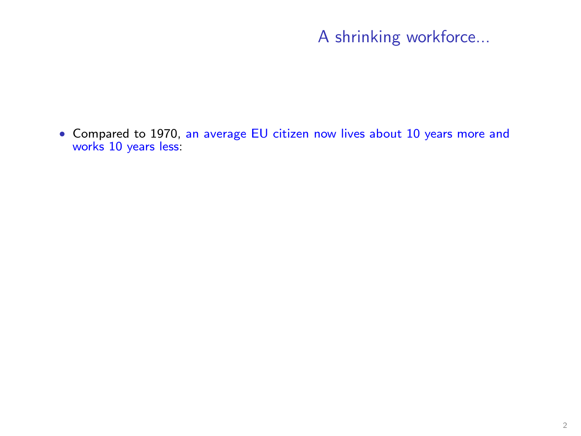<span id="page-1-0"></span>• Compared to 1970, an average EU citizen now lives about 10 years more and works 10 years less: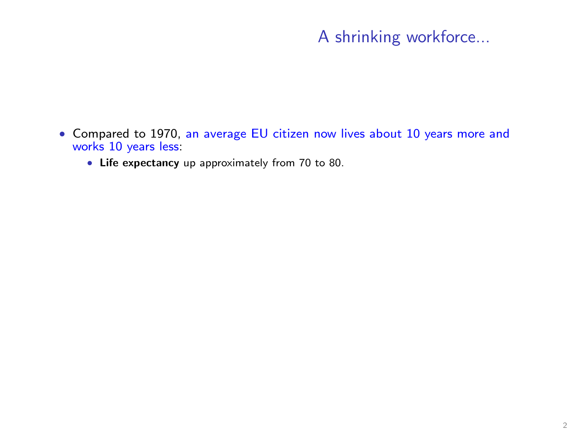- Compared to 1970, an average EU citizen now lives about 10 years more and works 10 years less:
	- Life expectancy up approximately from 70 to 80.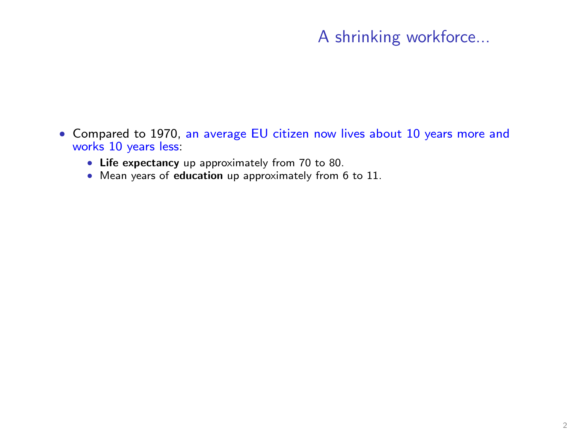- Compared to 1970, an average EU citizen now lives about 10 years more and works 10 years less:
	- Life expectancy up approximately from 70 to 80.
	- Mean years of education up approximately from 6 t[o 11.](#page-29-0)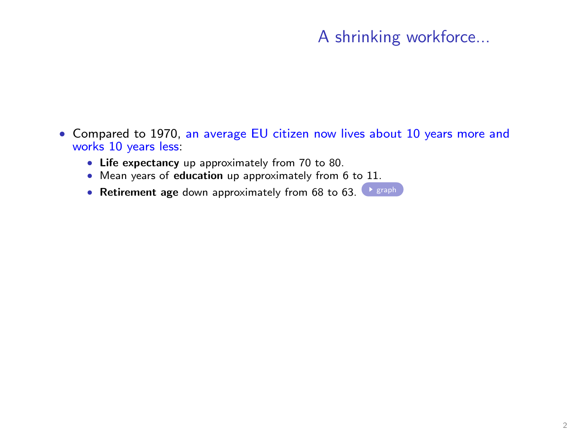- Compared to 1970, an average EU citizen now lives about 10 years more and works 10 years less:
	- Life expectancy up approximately from 70 to 80.
	- Mean years of education up approximately from 6 to 11.
	- Retirement age down approximately from 68 to  $63$ .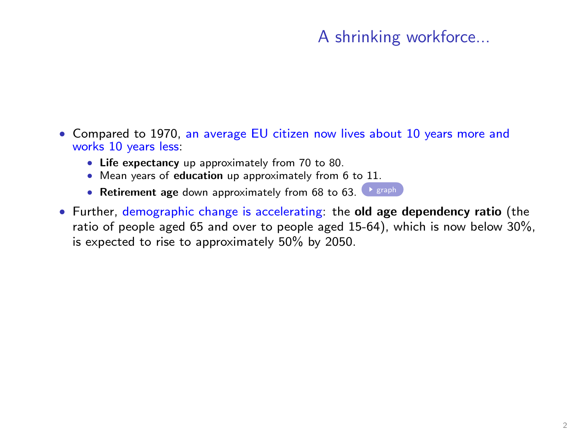- Compared to 1970, an average EU citizen now lives about 10 years more and works 10 years less:
	- Life expectancy up approximately from 70 to 80.
	- Mean years of education up approximately from 6 to 11.
	- Retirement age down approximately from 68 to  $63$ .  $\triangleright$  [graph](#page-29-0)
- Further, demographic change is accelerating: the old age dependency ratio (the ratio of people aged 65 and over to people aged 15-64), which is now below 30%, is expected to rise to approximately 50% by 2050.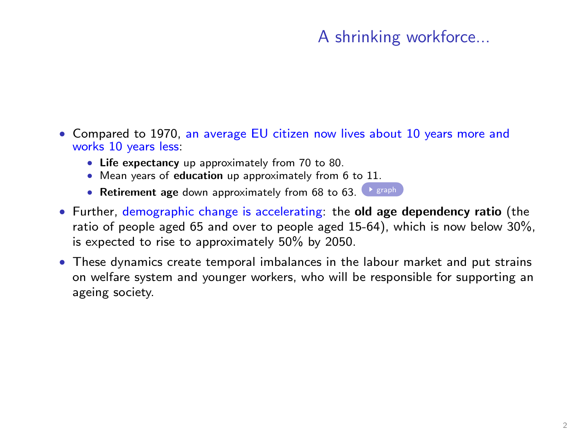- Compared to 1970, an average EU citizen now lives about 10 years more and works 10 years less:
	- Life expectancy up approximately from 70 to 80.
	- Mean years of education up approximately from 6 to 11.
	- Retirement age down approximately from 68 to  $63$ .  $\triangleright$  [graph](#page-29-0)
- Further, demographic change is accelerating: the old age dependency ratio (the ratio of people aged 65 and over to people aged 15-64), which is now below 30%, is expected to rise to approximately 50% by 2050.
- These dynamics create temporal imbalances in the labour market and put strains on welfare system and younger workers, who will be responsible for supporting an ageing society.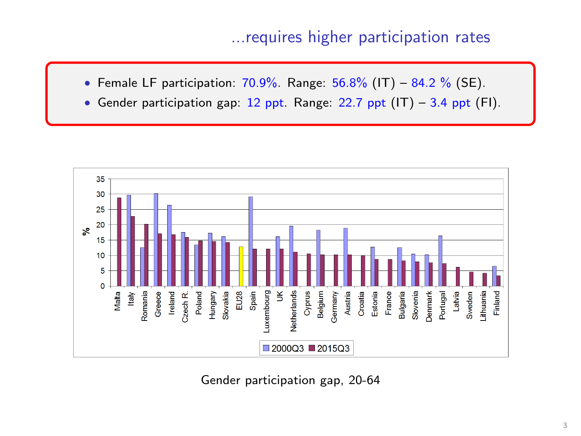### ...requires higher participation rates

- Female LF participation:  $70.9\%$ . Range:  $56.8\%$  (IT)  $84.2\%$  (SE).
- Gender participation gap: 12 ppt. Range: 22.7 ppt  $(IT)$  3.4 ppt  $(FI)$ .



Gender participation gap, 20-64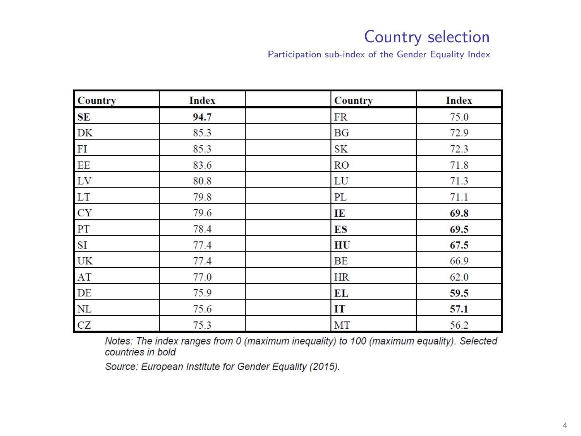### Country selection

Participation sub-index of the Gender Equality Index

| <b>Country</b> | <b>Index</b> | <b>Country</b> | <b>Index</b> |
|----------------|--------------|----------------|--------------|
| ${\bf SE}$     | 94.7         | <b>FR</b>      | 75.0         |
| DK             | 85.3         | BG             | 72.9         |
| ${\rm FI}$     | 85.3         | <b>SK</b>      | 72.3         |
| EE             | 83.6         | <b>RO</b>      | 71.8         |
| LV             | 80.8         | LU             | 71.3         |
| LT             | 79.8         | PL             | 71.1         |
| <b>CY</b>      | 79.6         | IE             | 69.8         |
| PT             | 78.4         | ES             | 69.5         |
| SI             | 77.4         | HU             | 67.5         |
| <b>UK</b>      | 77.4         | BE             | 66.9         |
| AT             | 77.0         | <b>HR</b>      | 62.0         |
| DE             | 75.9         | EL             | 59.5         |
| NL             | 75.6         | IT             | 57.1         |
| ${\rm CZ}$     | 75.3         | MT             | 56.2         |

Notes: The index ranges from 0 (maximum inequality) to 100 (maximum equality). Selected countries in bold

Source: European Institute for Gender Equality (2015).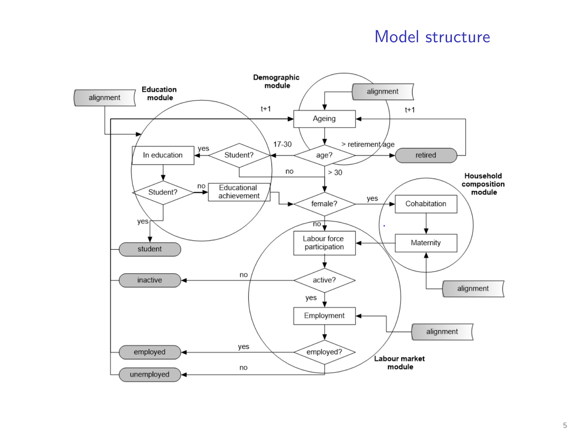#### Model structure

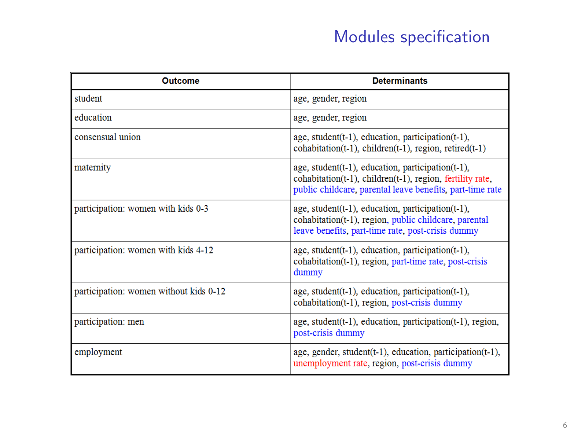# Modules specification

| Outcome                                | <b>Determinants</b>                                                                                                                                                         |  |  |  |
|----------------------------------------|-----------------------------------------------------------------------------------------------------------------------------------------------------------------------------|--|--|--|
| student                                | age, gender, region                                                                                                                                                         |  |  |  |
| education                              | age, gender, region                                                                                                                                                         |  |  |  |
| consensual union                       | age, student(t-1), education, participation(t-1),<br>cohabitation(t-1), children(t-1), region, retired(t-1)                                                                 |  |  |  |
| maternity                              | age, student(t-1), education, participation(t-1),<br>cohabitation(t-1), children(t-1), region, fertility rate,<br>public childcare, parental leave benefits, part-time rate |  |  |  |
| participation: women with kids 0-3     | age, student(t-1), education, participation(t-1),<br>cohabitation(t-1), region, public childcare, parental<br>leave benefits, part-time rate, post-crisis dummy             |  |  |  |
| participation: women with kids 4-12    | age, student(t-1), education, participation(t-1),<br>cohabitation(t-1), region, part-time rate, post-crisis<br>dummy                                                        |  |  |  |
| participation: women without kids 0-12 | age, student(t-1), education, participation(t-1),<br>cohabitation(t-1), region, post-crisis dummy                                                                           |  |  |  |
| participation: men                     | age, student(t-1), education, participation(t-1), region,<br>post-crisis dummy                                                                                              |  |  |  |
| employment                             | age, gender, student(t-1), education, participation(t-1),<br>unemployment rate, region, post-crisis dummy                                                                   |  |  |  |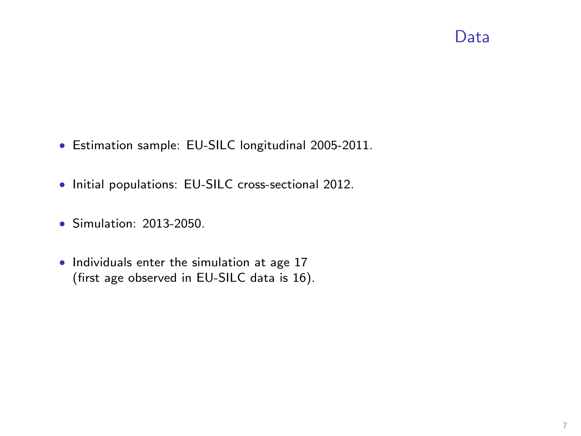## Data

- Estimation sample: EU-SILC longitudinal 2005-2011.
- Initial populations: EU-SILC cross-sectional 2012.
- Simulation: 2013-2050.
- Individuals enter the simulation at age 17 (first age observed in EU-SILC data is 16).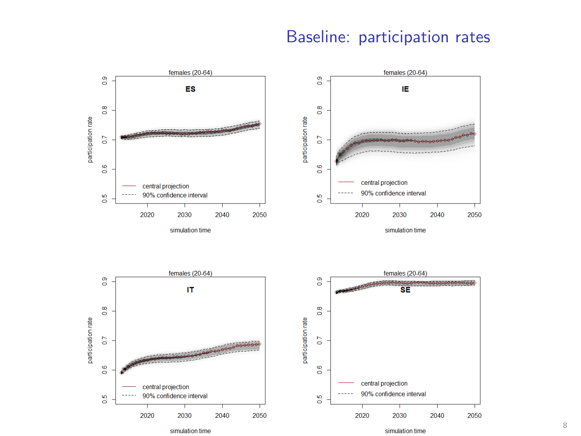### Baseline: participation rates



simulation time

simulation time

8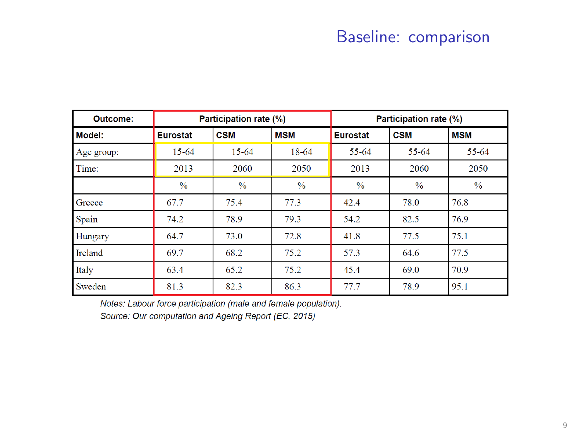## Baseline: comparison

| Outcome:   | Participation rate (%) |               |               | Participation rate (%) |               |               |
|------------|------------------------|---------------|---------------|------------------------|---------------|---------------|
| Model:     | Eurostat               | <b>CSM</b>    | <b>MSM</b>    | <b>Eurostat</b>        | <b>CSM</b>    | <b>MSM</b>    |
| Age group: | 15-64                  | 15-64         | 18-64         | 55-64                  | 55-64         | 55-64         |
| Time:      | 2013                   | 2060          | 2050          | 2013                   | 2060          | 2050          |
|            | $\frac{0}{0}$          | $\frac{0}{0}$ | $\frac{0}{0}$ | $\frac{0}{0}$          | $\frac{0}{0}$ | $\frac{0}{6}$ |
| Greece     | 67.7                   | 75.4          | 77.3          | 42.4                   | 78.0          | 76.8          |
| Spain      | 74.2                   | 78.9          | 79.3          | 54.2                   | 82.5          | 76.9          |
| Hungary    | 64.7                   | 73.0          | 72.8          | 41.8                   | 77.5          | 75.1          |
| Ireland    | 69.7                   | 68.2          | 75.2          | 57.3                   | 64.6          | 77.5          |
| Italy      | 63.4                   | 65.2          | 75.2          | 45.4                   | 69.0          | 70.9          |
| Sweden     | 81.3                   | 82.3          | 86.3          | 77.7                   | 78.9          | 95.1          |

Notes: Labour force participation (male and female population).

Source: Our computation and Ageing Report (EC, 2015)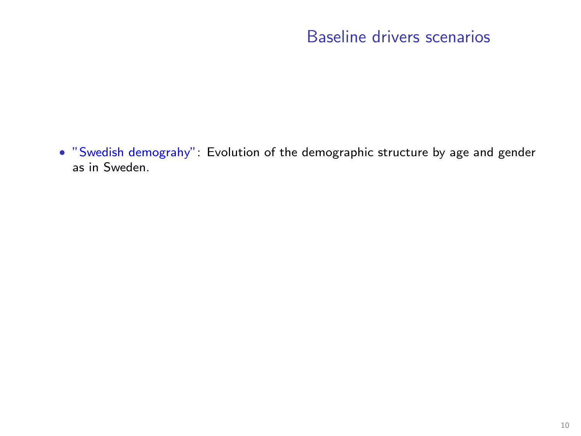## Baseline drivers scenarios

• "Swedish demograhy": Evolution of the demographic structure by age and gender as in Sweden.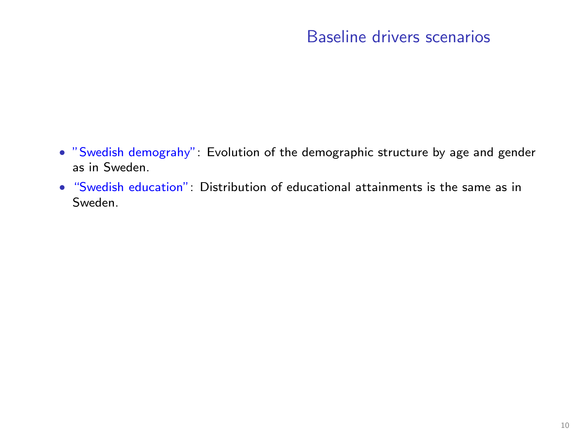### Baseline drivers scenarios

- "Swedish demograhy": Evolution of the demographic structure by age and gender as in Sweden.
- "Swedish education": Distribution of educational attainments is the same as in Sweden.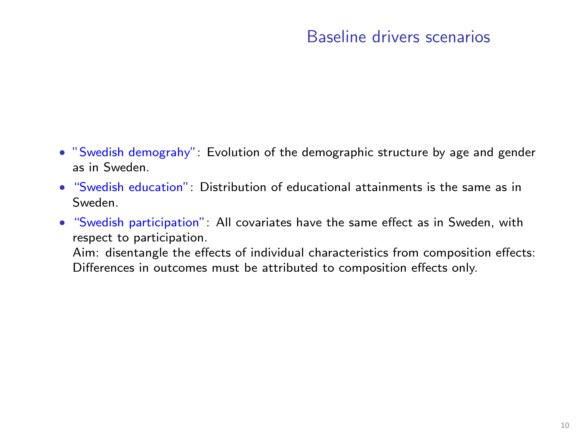### Baseline drivers scenarios

- "Swedish demograhy": Evolution of the demographic structure by age and gender as in Sweden.
- "Swedish education": Distribution of educational attainments is the same as in Sweden.
- "Swedish participation": All covariates have the same effect as in Sweden, with respect to participation.

Aim: disentangle the effects of individual characteristics from composition effects: Differences in outcomes must be attributed to composition effects only.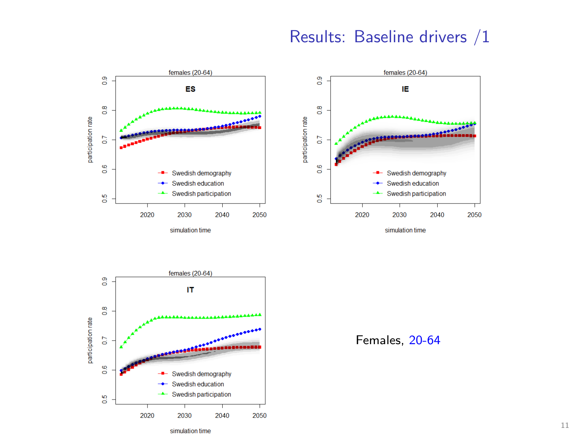#### Results: Baseline drivers /1



simulation time



simulation time



Females, 20-64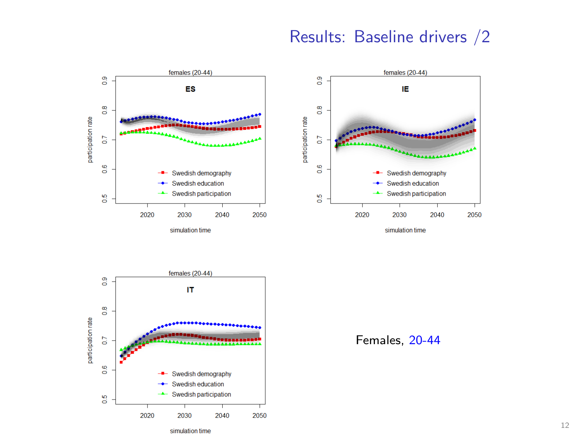### Results: Baseline drivers /2

females  $(20-44)$ 



simulation time





Females, 20-44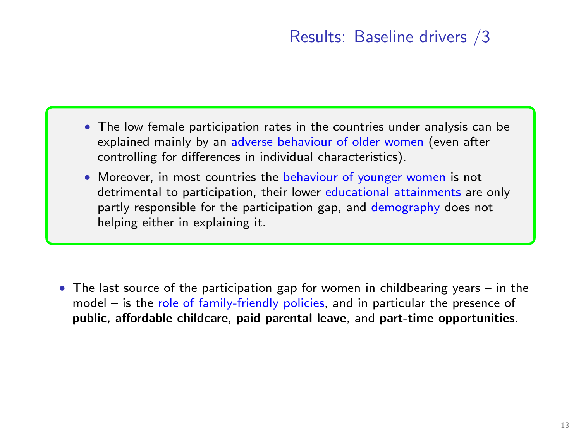## Results: Baseline drivers /3

- The low female participation rates in the countries under analysis can be explained mainly by an adverse behaviour of older women (even after controlling for differences in individual characteristics).
- Moreover, in most countries the behaviour of younger women is not detrimental to participation, their lower educational attainments are only partly responsible for the participation gap, and demography does not helping either in explaining it.

• The last source of the participation gap for women in childbearing years  $-$  in the model – is the role of family-friendly policies, and in particular the presence of public, affordable childcare, paid parental leave, and part-time opportunities.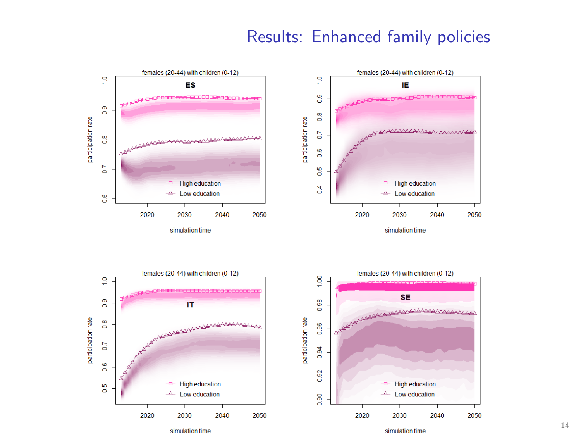#### Results: Enhanced family policies



simulation time

14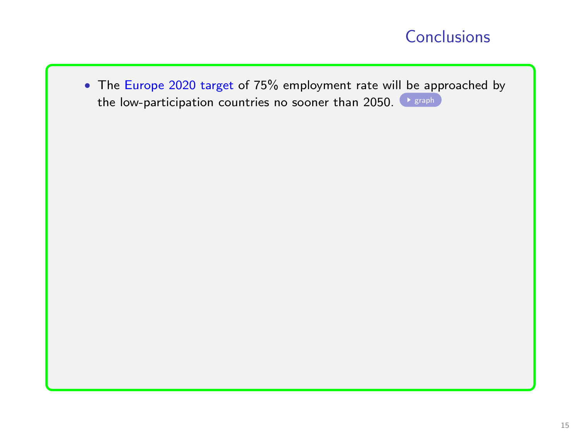<span id="page-21-0"></span>• The Europe 2020 target of 75% employment rate will be approached by the low-participation countries no sooner than 2050.  $\bullet$  [graph](#page-28-0)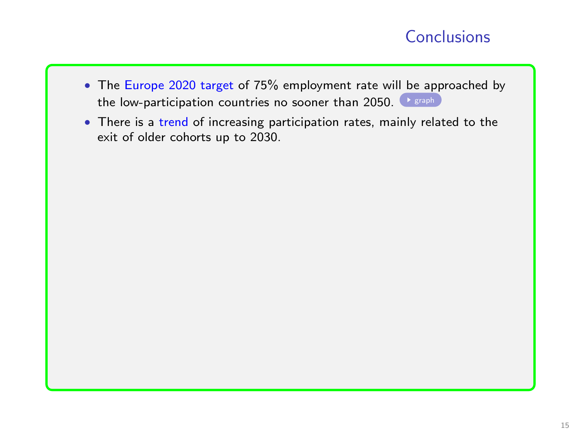- The Europe 2020 target of 75% employment rate will be approached by the low-participation countries no sooner than 2050.  $\blacktriangleright$  sraph
- There is a trend of increasing participation rates, mainly related to the exit of older cohorts up to 2030.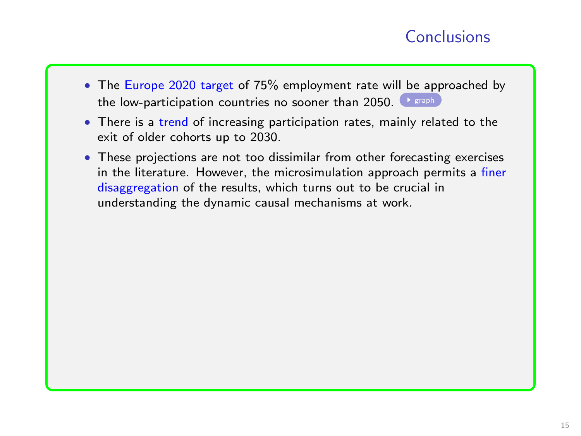- The Europe 2020 target of 75% employment rate will be approached by the low-participation countries no sooner than 2050.  $\blacktriangleright$  sraph
- There is a trend of increasing participation rates, mainly related to the exit of older cohorts up to 2030.
- These projections are not too dissimilar from other forecasting exercises in the literature. However, the microsimulation approach permits a finer disaggregation of the results, which turns out to be crucial in understanding the dynamic causal mechanisms at work.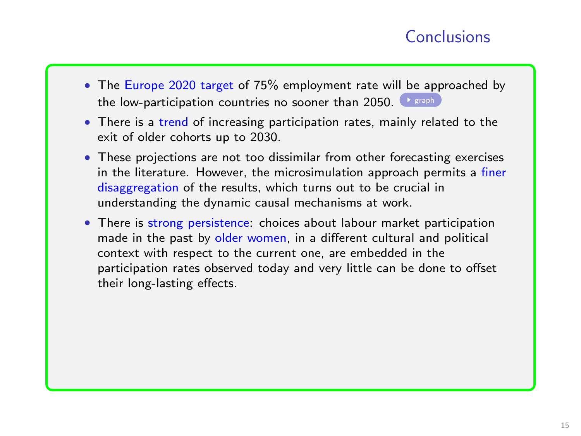- The Europe 2020 target of 75% employment rate will be approached by the low-participation countries no sooner than 2050.  $\blacktriangleright$  [graph](#page-28-0)
- There is a trend of increasing participation rates, mainly related to the exit of older cohorts up to 2030.
- These projections are not too dissimilar from other forecasting exercises in the literature. However, the microsimulation approach permits a finer disaggregation of the results, which turns out to be crucial in understanding the dynamic causal mechanisms at work.
- There is strong persistence: choices about labour market participation made in the past by older women, in a different cultural and political context with respect to the current one, are embedded in the participation rates observed today and very little can be done to offset their long-lasting effects.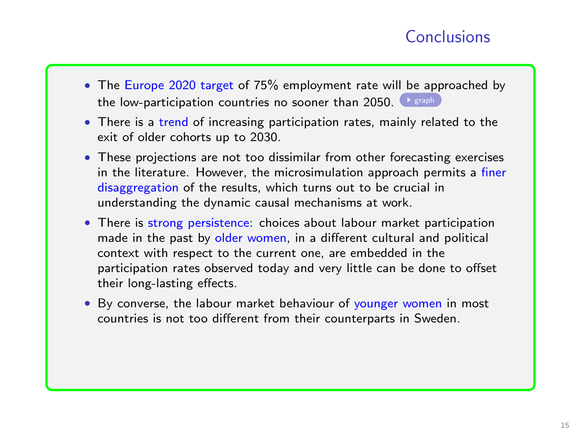- The Europe 2020 target of 75% employment rate will be approached by the low-participation countries no sooner than 2050.  $\bullet$  sraph
- There is a trend of increasing participation rates, mainly related to the exit of older cohorts up to 2030.
- These projections are not too dissimilar from other forecasting exercises in the literature. However, the microsimulation approach permits a finer disaggregation of the results, which turns out to be crucial in understanding the dynamic causal mechanisms at work.
- There is strong persistence: choices about labour market participation made in the past by older women, in a different cultural and political context with respect to the current one, are embedded in the participation rates observed today and very little can be done to offset their long-lasting effects.
- By converse, the labour market behaviour of younger women in most countries is not too different from their counterparts in Sweden.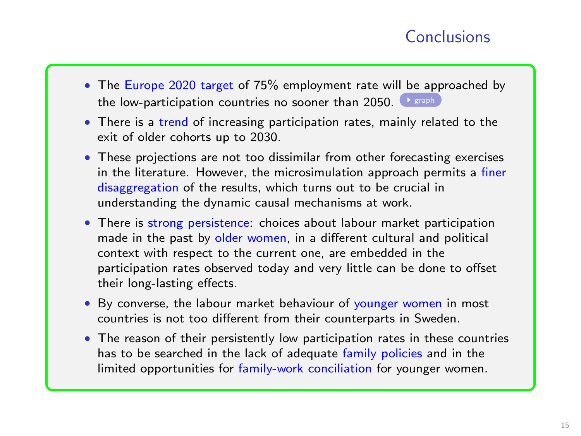- The Europe 2020 target of 75% employment rate will be approached by the low-participation countries no sooner than 2050.  $\rightarrow$  sraph
- There is a trend of increasing participation rates, mainly related to the exit of older cohorts up to 2030.
- These projections are not too dissimilar from other forecasting exercises in the literature. However, the microsimulation approach permits a finer disaggregation of the results, which turns out to be crucial in understanding the dynamic causal mechanisms at work.
- There is strong persistence: choices about labour market participation made in the past by older women, in a different cultural and political context with respect to the current one, are embedded in the participation rates observed today and very little can be done to offset their long-lasting effects.
- By converse, the labour market behaviour of younger women in most countries is not too different from their counterparts in Sweden.
- The reason of their persistently low participation rates in these countries has to be searched in the lack of adequate family policies and in the limited opportunities for family-work conciliation for younger women.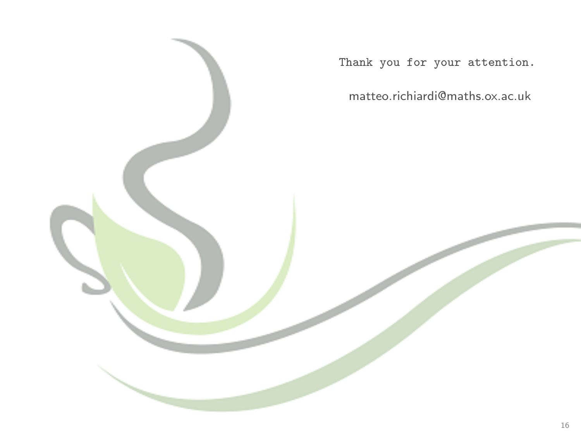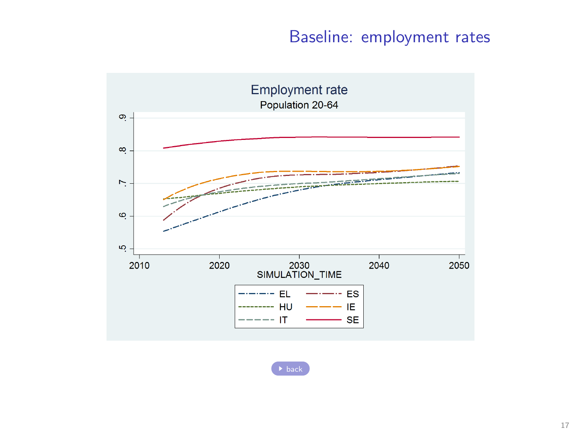### Baseline: employment rates

<span id="page-28-0"></span>

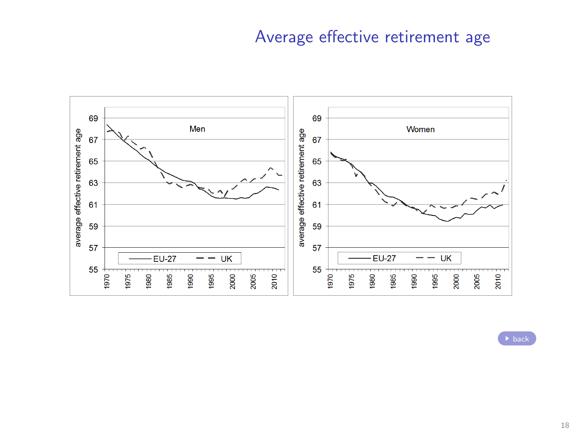## Average effective retirement age

<span id="page-29-0"></span>

 $\rightarrow$  [back](#page-1-0)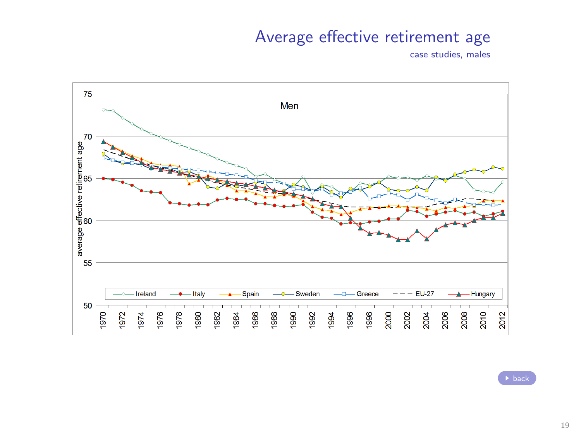### Average effective retirement age

case studies, males



 $\rightarrow$  [back](#page-0-0)